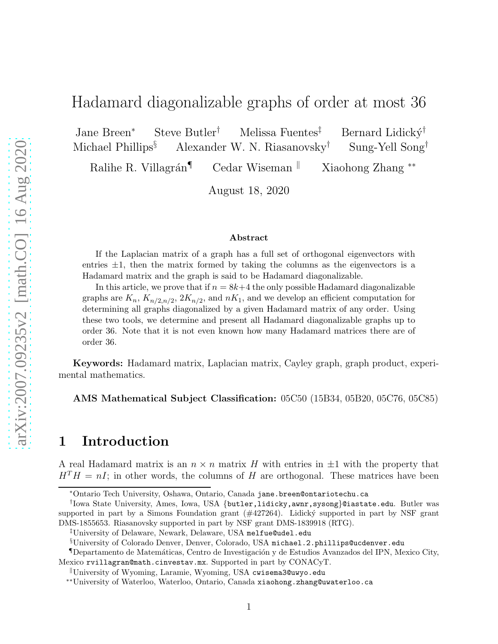# Hadamard diagonalizable graphs of order at most 36

Jane Breen<sup>∗</sup> Steve Butler† Melissa Fuentes‡ Bernard Lidick´y† Michael Phillips<sup>§</sup> Alexander W. N. Riasanovsky<sup>†</sup> Sung-Yell Song<sup>†</sup>

Ralihe R. Villagrán¶ Cedar Wiseman k Xiaohong Zhang <sup>∗∗</sup>

August 18, 2020

#### Abstract

If the Laplacian matrix of a graph has a full set of orthogonal eigenvectors with entries  $\pm 1$ , then the matrix formed by taking the columns as the eigenvectors is a Hadamard matrix and the graph is said to be Hadamard diagonalizable.

In this article, we prove that if  $n = 8k+4$  the only possible Hadamard diagonalizable graphs are  $K_n$ ,  $K_{n/2,n/2}$ ,  $2K_{n/2}$ , and  $nK_1$ , and we develop an efficient computation for determining all graphs diagonalized by a given Hadamard matrix of any order. Using these two tools, we determine and present all Hadamard diagonalizable graphs up to order 36. Note that it is not even known how many Hadamard matrices there are of order 36.

Keywords: Hadamard matrix, Laplacian matrix, Cayley graph, graph product, experimental mathematics.

AMS Mathematical Subject Classification: 05C50 (15B34, 05B20, 05C76, 05C85)

### 1 Introduction

A real Hadamard matrix is an  $n \times n$  matrix H with entries in  $\pm 1$  with the property that  $H<sup>T</sup>H = nI$ ; in other words, the columns of H are orthogonal. These matrices have been

<sup>∗</sup>Ontario Tech University, Oshawa, Ontario, Canada jane.breen@ontariotechu.ca

<sup>†</sup> Iowa State University, Ames, Iowa, USA {butler,lidicky,awnr,sysong}@iastate.edu. Butler was supported in part by a Simons Foundation grant  $(\#427264)$ . Lidický supported in part by NSF grant DMS-1855653. Riasanovsky supported in part by NSF grant DMS-1839918 (RTG).

<sup>‡</sup>University of Delaware, Newark, Delaware, USA melfue@udel.edu

<sup>§</sup>University of Colorado Denver, Denver, Colorado, USA michael.2.phillips@ucdenver.edu

<sup>¶</sup>Departamento de Matem´aticas, Centro de Investigaci´on y de Estudios Avanzados del IPN, Mexico City, Mexico rvillagran@math.cinvestav.mx. Supported in part by CONACyT.

<sup>k</sup>University of Wyoming, Laramie, Wyoming, USA cwisema3@uwyo.edu

<sup>∗∗</sup>University of Waterloo, Waterloo, Ontario, Canada xiaohong.zhang@uwaterloo.ca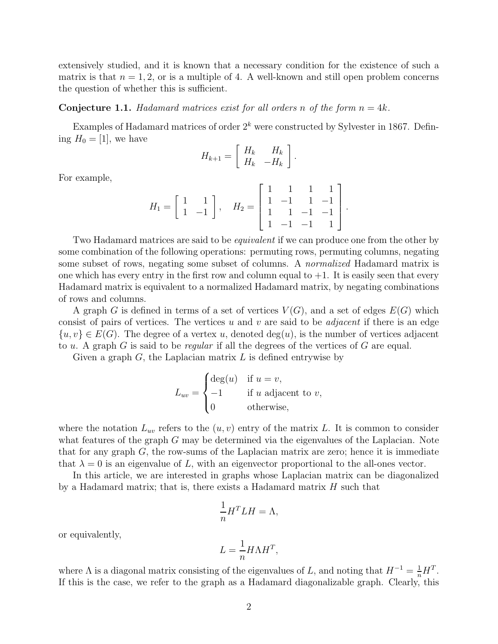extensively studied, and it is known that a necessary condition for the existence of such a matrix is that  $n = 1, 2$ , or is a multiple of 4. A well-known and still open problem concerns the question of whether this is sufficient.

#### **Conjecture 1.1.** *Hadamard matrices exist for all orders* n *of the form*  $n = 4k$ *.*

Examples of Hadamard matrices of order  $2<sup>k</sup>$  were constructed by Sylvester in 1867. Defining  $H_0 = [1]$ , we have

$$
H_{k+1}=\left[\begin{array}{cc} H_k & H_k \\ H_k & -H_k \end{array}\right]
$$

.

For example,

$$
H_1 = \begin{bmatrix} 1 & 1 \\ 1 & -1 \end{bmatrix}, \quad H_2 = \begin{bmatrix} 1 & 1 & 1 & 1 \\ 1 & -1 & 1 & -1 \\ 1 & 1 & -1 & -1 \\ 1 & -1 & -1 & 1 \end{bmatrix}.
$$

Two Hadamard matrices are said to be *equivalent* if we can produce one from the other by some combination of the following operations: permuting rows, permuting columns, negating some subset of rows, negating some subset of columns. A *normalized* Hadamard matrix is one which has every entry in the first row and column equal to  $+1$ . It is easily seen that every Hadamard matrix is equivalent to a normalized Hadamard matrix, by negating combinations of rows and columns.

A graph G is defined in terms of a set of vertices  $V(G)$ , and a set of edges  $E(G)$  which consist of pairs of vertices. The vertices u and v are said to be *adjacent* if there is an edge  ${u, v} \in E(G)$ . The degree of a vertex u, denoted  $deg(u)$ , is the number of vertices adjacent to u. A graph G is said to be *regular* if all the degrees of the vertices of G are equal.

Given a graph  $G$ , the Laplacian matrix  $L$  is defined entrywise by

$$
L_{uv} = \begin{cases} \deg(u) & \text{if } u = v, \\ -1 & \text{if } u \text{ adjacent to } v, \\ 0 & \text{otherwise,} \end{cases}
$$

where the notation  $L_{uv}$  refers to the  $(u, v)$  entry of the matrix L. It is common to consider what features of the graph G may be determined via the eigenvalues of the Laplacian. Note that for any graph  $G$ , the row-sums of the Laplacian matrix are zero; hence it is immediate that  $\lambda = 0$  is an eigenvalue of L, with an eigenvector proportional to the all-ones vector.

In this article, we are interested in graphs whose Laplacian matrix can be diagonalized by a Hadamard matrix; that is, there exists a Hadamard matrix  $H$  such that

$$
\frac{1}{n}H^T L H = \Lambda,
$$

or equivalently,

$$
L = \frac{1}{n} H \Lambda H^T,
$$

where  $\Lambda$  is a diagonal matrix consisting of the eigenvalues of L, and noting that  $H^{-1} = \frac{1}{n}H^{T}$ . If this is the case, we refer to the graph as a Hadamard diagonalizable graph. Clearly, this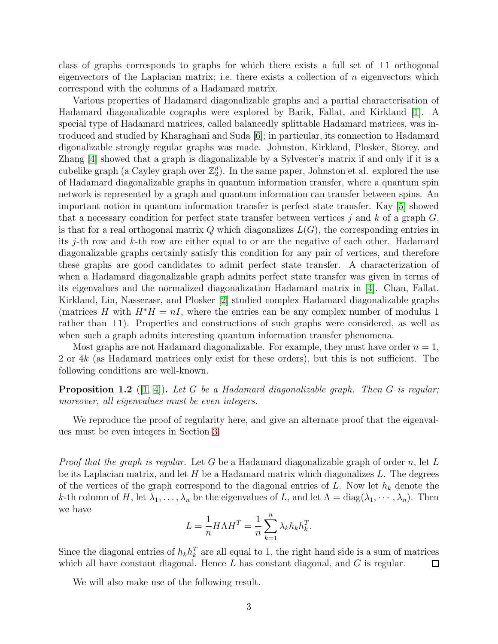class of graphs corresponds to graphs for which there exists a full set of  $\pm 1$  orthogonal eigenvectors of the Laplacian matrix; i.e. there exists a collection of  $n$  eigenvectors which correspond with the columns of a Hadamard matrix.

Various properties of Hadamard diagonalizable graphs and a partial characterisation of Hadamard diagonalizable cographs were explored by Barik, Fallat, and Kirkland [\[1\]](#page-20-0). A special type of Hadamard matrices, called balancedly splittable Hadamard matrices, was introduced and studied by Kharaghani and Suda [\[6\]](#page-20-1); in particular, its connection to Hadamard digonalizable strongly regular graphs was made. Johnston, Kirkland, Plosker, Storey, and Zhang [\[4\]](#page-20-2) showed that a graph is diagonalizable by a Sylvester's matrix if and only if it is a cubelike graph (a Cayley graph over  $\mathbb{Z}_2^d$ ). In the same paper, Johnston et al. explored the use of Hadamard diagonalizable graphs in quantum information transfer, where a quantum spin network is represented by a graph and quantum information can transfer between spins. An important notion in quantum information transfer is perfect state transfer. Kay [\[5\]](#page-20-3) showed that a necessary condition for perfect state transfer between vertices j and k of a graph  $G$ , is that for a real orthogonal matrix  $Q$  which diagonalizes  $L(G)$ , the corresponding entries in its j-th row and k-th row are either equal to or are the negative of each other. Hadamard diagonalizable graphs certainly satisfy this condition for any pair of vertices, and therefore these graphs are good candidates to admit perfect state transfer. A characterization of when a Hadamard diagonalizable graph admits perfect state transfer was given in terms of its eigenvalues and the normalized diagonalization Hadamard matrix in [\[4\]](#page-20-2). Chan, Fallat, Kirkland, Lin, Nasserasr, and Plosker [\[2\]](#page-20-4) studied complex Hadamard diagonalizable graphs (matrices H with  $H^*H = nI$ , where the entries can be any complex number of modulus 1 rather than  $\pm 1$ ). Properties and constructions of such graphs were considered, as well as when such a graph admits interesting quantum information transfer phenomena.

Most graphs are not Hadamard diagonalizable. For example, they must have order  $n = 1$ , 2 or  $4k$  (as Hadamard matrices only exist for these orders), but this is not sufficient. The following conditions are well-known.

<span id="page-2-0"></span>Proposition 1.2 ([\[1,](#page-20-0) [4\]](#page-20-2)). *Let* G *be a Hadamard diagonalizable graph. Then* G *is regular; moreover, all eigenvalues must be even integers.*

We reproduce the proof of regularity here, and give an alternate proof that the eigenvalues must be even integers in Section [3.](#page-5-0)

*Proof that the graph is regular.* Let G be a Hadamard diagonalizable graph of order n, let L be its Laplacian matrix, and let  $H$  be a Hadamard matrix which diagonalizes  $L$ . The degrees of the vertices of the graph correspond to the diagonal entries of L. Now let  $h_k$  denote the k-th column of H, let  $\lambda_1, \ldots, \lambda_n$  be the eigenvalues of L, and let  $\Lambda = \text{diag}(\lambda_1, \cdots, \lambda_n)$ . Then we have

$$
L = \frac{1}{n} H\Lambda H^T = \frac{1}{n} \sum_{k=1}^n \lambda_k h_k h_k^T.
$$

Since the diagonal entries of  $h_k h_k^T$  are all equal to 1, the right hand side is a sum of matrices which all have constant diagonal. Hence  $L$  has constant diagonal, and  $G$  is regular.  $\Box$ 

We will also make use of the following result.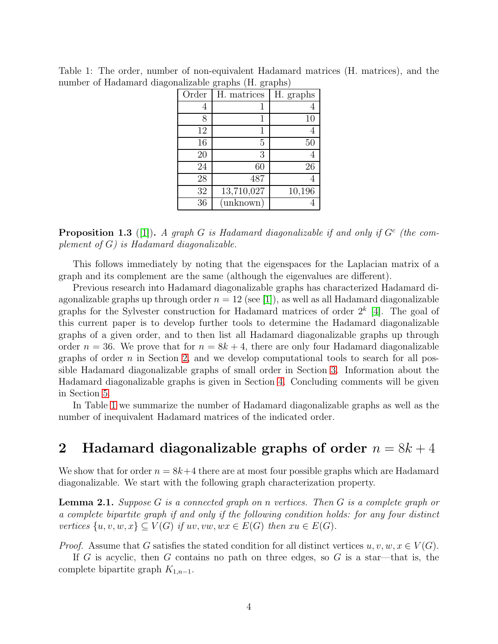|       | ັ<br>ᅩ      | ᅩ         |
|-------|-------------|-----------|
| Order | H. matrices | H. graphs |
| 4     |             |           |
| 8     | 1           | 10        |
| 12    | 1           |           |
| 16    | 5           | 50        |
| 20    | 3           |           |
| 24    | 60          | 26        |
| 28    | 487         |           |
| 32    | 13,710,027  | 10,196    |
| 36    | (unknown)   |           |

<span id="page-3-1"></span>Table 1: The order, number of non-equivalent Hadamard matrices (H. matrices), and the number of Hadamard diagonalizable graphs (H. graphs)

**Proposition 1.3** ([\[1\]](#page-20-0)). A graph G is Hadamard diagonalizable if and only if  $G<sup>c</sup>$  (the com*plement of* G*) is Hadamard diagonalizable.*

This follows immediately by noting that the eigenspaces for the Laplacian matrix of a graph and its complement are the same (although the eigenvalues are different).

Previous research into Hadamard diagonalizable graphs has characterized Hadamard diagonalizable graphs up through order  $n = 12$  (see [\[1\]](#page-20-0)), as well as all Hadamard diagonalizable graphs for the Sylvester construction for Hadamard matrices of order  $2^k$  [\[4\]](#page-20-2). The goal of this current paper is to develop further tools to determine the Hadamard diagonalizable graphs of a given order, and to then list all Hadamard diagonalizable graphs up through order  $n = 36$ . We prove that for  $n = 8k + 4$ , there are only four Hadamard diagonalizable graphs of order  $n$  in Section [2,](#page-3-0) and we develop computational tools to search for all possible Hadamard diagonalizable graphs of small order in Section [3.](#page-5-0) Information about the Hadamard diagonalizable graphs is given in Section [4.](#page-11-0) Concluding comments will be given in Section [5.](#page-19-0)

In Table [1](#page-3-1) we summarize the number of Hadamard diagonalizable graphs as well as the number of inequivalent Hadamard matrices of the indicated order.

### <span id="page-3-0"></span>2 Hadamard diagonalizable graphs of order  $n = 8k + 4$

We show that for order  $n = 8k+4$  there are at most four possible graphs which are Hadamard diagonalizable. We start with the following graph characterization property.

<span id="page-3-2"></span>Lemma 2.1. *Suppose* G *is a connected graph on* n *vertices. Then* G *is a complete graph or a complete bipartite graph if and only if the following condition holds: for any four distinct vertices*  $\{u, v, w, x\} \subseteq V(G)$  *if*  $uv, vw, wx \in E(G)$  *then*  $xu \in E(G)$ *.* 

*Proof.* Assume that G satisfies the stated condition for all distinct vertices  $u, v, w, x \in V(G)$ .

If G is acyclic, then G contains no path on three edges, so G is a star—that is, the complete bipartite graph  $K_{1,n-1}$ .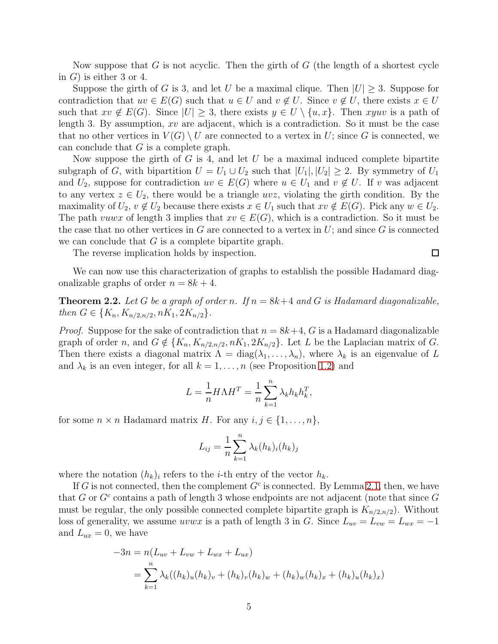Now suppose that G is not acyclic. Then the girth of G (the length of a shortest cycle in  $G$ ) is either 3 or 4.

Suppose the girth of G is 3, and let U be a maximal clique. Then  $|U| \geq 3$ . Suppose for contradiction that  $uv \in E(G)$  such that  $u \in U$  and  $v \notin U$ . Since  $v \notin U$ , there exists  $x \in U$ such that  $xv \notin E(G)$ . Since  $|U| \geq 3$ , there exists  $y \in U \setminus \{u, x\}$ . Then  $xyuv$  is a path of length 3. By assumption, xv are adjacent, which is a contradiction. So it must be the case that no other vertices in  $V(G) \setminus U$  are connected to a vertex in U; since G is connected, we can conclude that  $G$  is a complete graph.

Now suppose the girth of G is 4, and let U be a maximal induced complete bipartite subgraph of G, with bipartition  $U = U_1 \cup U_2$  such that  $|U_1|, |U_2| \geq 2$ . By symmetry of  $U_1$ and  $U_2$ , suppose for contradiction  $uv \in E(G)$  where  $u \in U_1$  and  $v \notin U$ . If v was adjacent to any vertex  $z \in U_2$ , there would be a triangle uvz, violating the girth condition. By the maximality of  $U_2, v \notin U_2$  because there exists  $x \in U_1$  such that  $xv \notin E(G)$ . Pick any  $w \in U_2$ . The path vuwx of length 3 implies that  $xv \in E(G)$ , which is a contradiction. So it must be the case that no other vertices in  $G$  are connected to a vertex in  $U$ ; and since  $G$  is connected we can conclude that  $G$  is a complete bipartite graph.

The reverse implication holds by inspection.

We can now use this characterization of graphs to establish the possible Hadamard diagonalizable graphs of order  $n = 8k + 4$ .

 $\Box$ 

**Theorem 2.2.** Let G be a graph of order n. If  $n = 8k+4$  and G is Hadamard diagonalizable, *then*  $G \in \{K_n, K_{n/2,n/2}, nK_1, 2K_{n/2}\}.$ 

*Proof.* Suppose for the sake of contradiction that  $n = 8k+4$ , G is a Hadamard diagonalizable graph of order n, and  $G \notin \{K_n, K_{n/2,n/2}, nK_1, 2K_{n/2}\}.$  Let L be the Laplacian matrix of G. Then there exists a diagonal matrix  $\Lambda = \text{diag}(\lambda_1, \ldots, \lambda_n)$ , where  $\lambda_k$  is an eigenvalue of L and  $\lambda_k$  is an even integer, for all  $k = 1, \ldots, n$  (see Proposition [1.2\)](#page-2-0) and

$$
L = \frac{1}{n} H\Lambda H^T = \frac{1}{n} \sum_{k=1}^n \lambda_k h_k h_k^T,
$$

for some  $n \times n$  Hadamard matrix H. For any  $i, j \in \{1, \ldots, n\},$ 

$$
L_{ij} = \frac{1}{n} \sum_{k=1}^{n} \lambda_k (h_k)_i (h_k)_j
$$

where the notation  $(h_k)_i$  refers to the *i*-th entry of the vector  $h_k$ .

If G is not connected, then the complement  $G<sup>c</sup>$  is connected. By Lemma [2.1,](#page-3-2) then, we have that G or  $G^c$  contains a path of length 3 whose endpoints are not adjacent (note that since G must be regular, the only possible connected complete bipartite graph is  $K_{n/2,n/2}$ ). Without loss of generality, we assume *uvwx* is a path of length 3 in G. Since  $L_{uv} = L_{vw} = L_{wx} = -1$ and  $L_{ux} = 0$ , we have

$$
-3n = n(L_{uv} + L_{vw} + L_{wx} + L_{ux})
$$
  
= 
$$
\sum_{k=1}^{n} \lambda_k ((h_k)_u (h_k)_v + (h_k)_v (h_k)_w + (h_k)_w (h_k)_x + (h_k)_u (h_k)_x)
$$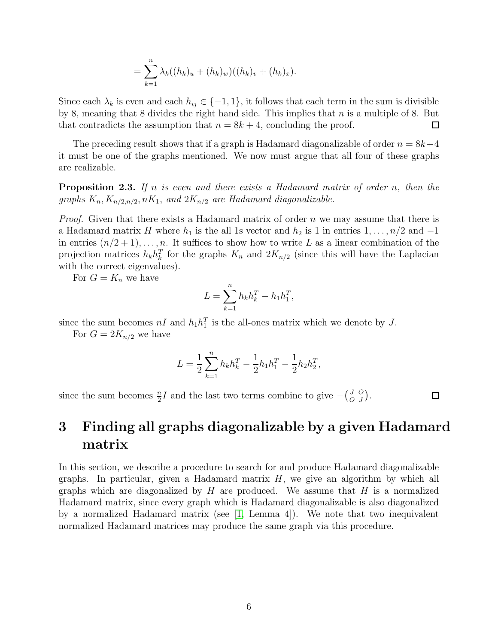$$
= \sum_{k=1}^{n} \lambda_k ((h_k)_u + (h_k)_w)((h_k)_v + (h_k)_x).
$$

Since each  $\lambda_k$  is even and each  $h_{ij} \in \{-1,1\}$ , it follows that each term in the sum is divisible by 8, meaning that 8 divides the right hand side. This implies that  $n$  is a multiple of 8. But that contradicts the assumption that  $n = 8k + 4$ , concluding the proof.  $\Box$ 

The preceding result shows that if a graph is Hadamard diagonalizable of order  $n = 8k+4$ it must be one of the graphs mentioned. We now must argue that all four of these graphs are realizable.

Proposition 2.3. *If* n *is even and there exists a Hadamard matrix of order* n*, then the graphs*  $K_n$ ,  $K_{n/2,n/2}$ ,  $nK_1$ , and  $2K_{n/2}$  are Hadamard diagonalizable.

*Proof.* Given that there exists a Hadamard matrix of order n we may assume that there is a Hadamard matrix H where  $h_1$  is the all 1s vector and  $h_2$  is 1 in entries  $1, \ldots, n/2$  and  $-1$ in entries  $(n/2+1), \ldots, n$ . It suffices to show how to write L as a linear combination of the projection matrices  $h_k h_k^T$  for the graphs  $K_n$  and  $2K_{n/2}$  (since this will have the Laplacian with the correct eigenvalues).

For  $G = K_n$  we have

$$
L = \sum_{k=1}^{n} h_k h_k^T - h_1 h_1^T,
$$

since the sum becomes  $nI$  and  $h_1h_1^T$  is the all-ones matrix which we denote by J.

For  $G = 2K_{n/2}$  we have

$$
L = \frac{1}{2} \sum_{k=1}^{n} h_k h_k^T - \frac{1}{2} h_1 h_1^T - \frac{1}{2} h_2 h_2^T,
$$

since the sum becomes  $\frac{n}{2}I$  and the last two terms combine to give  $-\binom{J}{C}$ O O  $\binom{O}{J}$ .

 $\Box$ 

# <span id="page-5-0"></span>3 Finding all graphs diagonalizable by a given Hadamard matrix

In this section, we describe a procedure to search for and produce Hadamard diagonalizable graphs. In particular, given a Hadamard matrix  $H$ , we give an algorithm by which all graphs which are diagonalized by  $H$  are produced. We assume that  $H$  is a normalized Hadamard matrix, since every graph which is Hadamard diagonalizable is also diagonalized by a normalized Hadamard matrix (see [\[1,](#page-20-0) Lemma 4]). We note that two inequivalent normalized Hadamard matrices may produce the same graph via this procedure.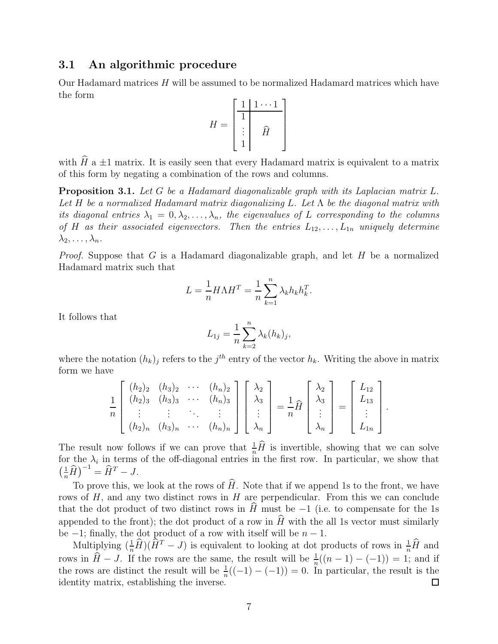### 3.1 An algorithmic procedure

Our Hadamard matrices H will be assumed to be normalized Hadamard matrices which have the form ן

$$
H = \begin{bmatrix} 1 & 1 & \cdots & 1 \\ \hline 1 & & & \\ \vdots & & \widehat{H} & \\ 1 & & & \end{bmatrix}
$$

with  $\widehat{H}$  a  $\pm 1$  matrix. It is easily seen that every Hadamard matrix is equivalent to a matrix of this form by negating a combination of the rows and columns.

<span id="page-6-0"></span>Proposition 3.1. *Let* G *be a Hadamard diagonalizable graph with its Laplacian matrix* L*. Let* H *be a normalized Hadamard matrix diagonalizing* L*. Let* Λ *be the diagonal matrix with its diagonal entries*  $\lambda_1 = 0, \lambda_2, \ldots, \lambda_n$ , the eigenvalues of L corresponding to the columns *of* H *as their associated eigenvectors.* Then the entries  $L_{12}, \ldots, L_{1n}$  *uniquely determine*  $\lambda_2, \ldots, \lambda_n$ .

*Proof.* Suppose that G is a Hadamard diagonalizable graph, and let H be a normalized Hadamard matrix such that

$$
L = \frac{1}{n} H\Lambda H^T = \frac{1}{n} \sum_{k=1}^n \lambda_k h_k h_k^T.
$$

It follows that

$$
L_{1j} = \frac{1}{n} \sum_{k=2}^{n} \lambda_k (h_k)_j,
$$

where the notation  $(h_k)_j$  refers to the  $j^{th}$  entry of the vector  $h_k$ . Writing the above in matrix form we have

$$
\frac{1}{n}\begin{bmatrix}\n(h_2)_2 & (h_3)_2 & \cdots & (h_n)_2 \\
(h_2)_3 & (h_3)_3 & \cdots & (h_n)_3 \\
\vdots & \vdots & \ddots & \vdots \\
(h_2)_n & (h_3)_n & \cdots & (h_n)_n\n\end{bmatrix}\begin{bmatrix}\n\lambda_2 \\
\lambda_3 \\
\vdots \\
\lambda_n\n\end{bmatrix} = \frac{1}{n}\widehat{H}\begin{bmatrix}\n\lambda_2 \\
\lambda_3 \\
\vdots \\
\lambda_n\n\end{bmatrix} = \begin{bmatrix}\nL_{12} \\
L_{13} \\
\vdots \\
L_{1n}\n\end{bmatrix}.
$$

The result now follows if we can prove that  $\frac{1}{n}\hat{H}$  is invertible, showing that we can solve for the  $\lambda_i$  in terms of the off-diagonal entries in the first row. In particular, we show that  $\left(\frac{1}{n}\widehat{H}\right)^{-1} = \widehat{H}^T - J.$ 

To prove this, we look at the rows of  $\widehat{H}$ . Note that if we append 1s to the front, we have rows of  $H$ , and any two distinct rows in  $H$  are perpendicular. From this we can conclude that the dot product of two distinct rows in  $\hat{H}$  must be −1 (i.e. to compensate for the 1s appended to the front); the dot product of a row in  $\widehat{H}$  with the all 1s vector must similarly be  $-1$ ; finally, the dot product of a row with itself will be  $n-1$ .

Multiplying  $(\frac{1}{n}\hat{H})(\hat{H}^T - J)$  is equivalent to looking at dot products of rows in  $\frac{1}{n}\hat{H}$  and rows in  $\hat{H}-J$ . If the rows are the same, the result will be  $\frac{1}{n}((n-1) - (-1)) = 1$ ; and if the rows are distinct the result will be  $\frac{1}{n}((-1) - (-1)) = 0$ . In particular, the result is the identity matrix, establishing the inverse.  $\Box$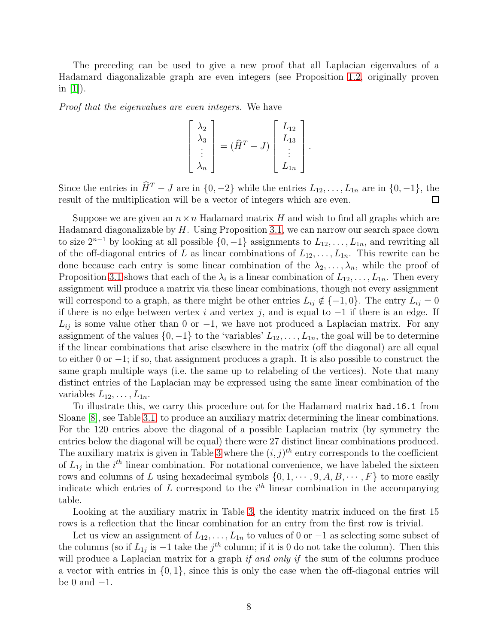The preceding can be used to give a new proof that all Laplacian eigenvalues of a Hadamard diagonalizable graph are even integers (see Proposition [1.2,](#page-2-0) originally proven in  $[1]$ ).

*Proof that the eigenvalues are even integers.* We have

$$
\begin{bmatrix} \lambda_2 \\ \lambda_3 \\ \vdots \\ \lambda_n \end{bmatrix} = (\widehat{H}^T - J) \begin{bmatrix} L_{12} \\ L_{13} \\ \vdots \\ L_{1n} \end{bmatrix}.
$$

Since the entries in  $\widehat{H}^T - J$  are in  $\{0, -2\}$  while the entries  $L_{12}, \ldots, L_{1n}$  are in  $\{0, -1\}$ , the result of the multiplication will be a vector of integers which are even. result of the multiplication will be a vector of integers which are even.

Suppose we are given an  $n \times n$  Hadamard matrix H and wish to find all graphs which are Hadamard diagonalizable by  $H$ . Using Proposition [3.1,](#page-6-0) we can narrow our search space down to size  $2^{n-1}$  by looking at all possible  $\{0, -1\}$  assignments to  $L_{12}, \ldots, L_{1n}$ , and rewriting all of the off-diagonal entries of L as linear combinations of  $L_1, \ldots, L_{1n}$ . This rewrite can be done because each entry is some linear combination of the  $\lambda_2, \ldots, \lambda_n$ , while the proof of Proposition [3.1](#page-6-0) shows that each of the  $\lambda_i$  is a linear combination of  $L_{12}, \ldots, L_{1n}$ . Then every assignment will produce a matrix via these linear combinations, though not every assignment will correspond to a graph, as there might be other entries  $L_{ij} \notin \{-1,0\}$ . The entry  $L_{ij} = 0$ if there is no edge between vertex i and vertex j, and is equal to  $-1$  if there is an edge. If  $L_{ij}$  is some value other than 0 or -1, we have not produced a Laplacian matrix. For any assignment of the values  $\{0, -1\}$  to the 'variables'  $L_{12}, \ldots, L_{1n}$ , the goal will be to determine if the linear combinations that arise elsewhere in the matrix (off the diagonal) are all equal to either 0 or −1; if so, that assignment produces a graph. It is also possible to construct the same graph multiple ways (i.e. the same up to relabeling of the vertices). Note that many distinct entries of the Laplacian may be expressed using the same linear combination of the variables  $L_{12}, \ldots, L_{1n}$ .

To illustrate this, we carry this procedure out for the Hadamard matrix had.16.1 from Sloane [\[8\]](#page-21-0), see Table [3.1,](#page-6-0) to produce an auxiliary matrix determining the linear combinations. For the 120 entries above the diagonal of a possible Laplacian matrix (by symmetry the entries below the diagonal will be equal) there were 27 distinct linear combinations produced. The auxiliary matrix is given in Table [3](#page-9-0) where the  $(i, j)$ <sup>th</sup> entry corresponds to the coefficient of  $L_{1j}$  in the  $i^{th}$  linear combination. For notational convenience, we have labeled the sixteen rows and columns of L using hexadecimal symbols  $\{0, 1, \dots, 9, A, B, \dots, F\}$  to more easily indicate which entries of L correspond to the  $i<sup>th</sup>$  linear combination in the accompanying table.

Looking at the auxiliary matrix in Table [3,](#page-9-0) the identity matrix induced on the first 15 rows is a reflection that the linear combination for an entry from the first row is trivial.

Let us view an assignment of  $L_{12}, \ldots, L_{1n}$  to values of 0 or  $-1$  as selecting some subset of the columns (so if  $L_{1j}$  is  $-1$  take the  $j<sup>th</sup>$  column; if it is 0 do not take the column). Then this will produce a Laplacian matrix for a graph *if and only if* the sum of the columns produce a vector with entries in  $\{0,1\}$ , since this is only the case when the off-diagonal entries will be 0 and  $-1$ .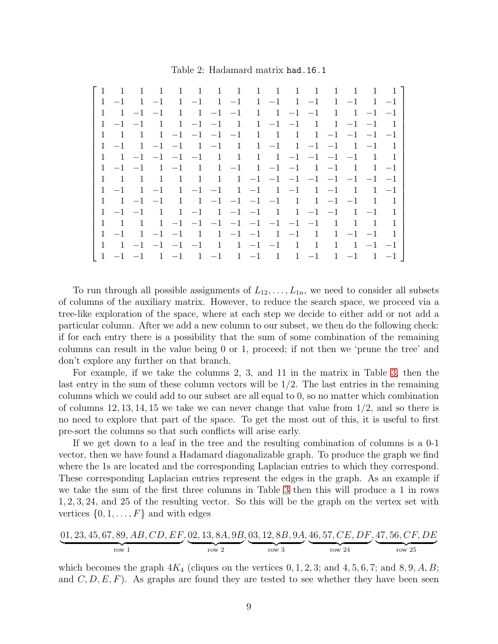Table 2: Hadamard matrix had.16.1

| $\overline{1}$<br>$\overline{1}$     | $\overline{1}$<br>$\overline{1}$ | 1 1 1 1 1 1 1 1                |                                |                                                 |                      | $\overline{1}$ | $\overline{1}$<br>$\overline{1}$                                                       |         |
|--------------------------------------|----------------------------------|--------------------------------|--------------------------------|-------------------------------------------------|----------------------|----------------|----------------------------------------------------------------------------------------|---------|
| $-1$<br>$\mathbf{1}$<br>$\mathbf{1}$ | $1 -1$<br>$-1$                   | $1 -1$                         |                                | $1 -1$ $1 -1$ $1 -1$ $1 -1$                     |                      |                |                                                                                        |         |
| $1 -1 -1$                            | $\mathbf{1}$                     | $1 -1 -1$                      | $\mathbf{1}$                   | $1 -1 -1$                                       |                      | -1             | $1 -1 -1$                                                                              |         |
| $\mathbf{1}$<br>$-1$ $-1$            | $\overline{1}$                   | $1 -1 -1 1$                    |                                | $1 -1 -1 1$                                     |                      |                | $1 -1 -1$                                                                              |         |
| $\overline{1}$<br>-1                 | $1 -1 -1 -1 -1$                  |                                | $\mathbf{1}$                   | $\overline{1}$                                  |                      |                | $1 \quad 1 \quad -1 \quad -1 \quad -1 \quad -1$                                        |         |
| $-1$                                 | $1 -1 -1 1 -1$                   |                                | $\overline{1}$                 | $1 -1$ $1 -1$ $-1$                              |                      |                | $1 -1$                                                                                 |         |
| $1 -1 -1 -1 -1 -1$<br>$\mathbf{1}$   |                                  | $\overline{1}$                 | $\overline{1}$                 | $1 \quad 1 \quad -1 \quad -1 \quad -1 \quad -1$ |                      |                | $\overline{1}$                                                                         |         |
| $\mathbf{1}$<br>$-1$ $-1$            | $\mathbf{1}$<br>$-1$             | $\mathbf{1}$<br>-1             | $-1$                           | $1 -1 -1 1 -1$                                  |                      |                | $\begin{array}{\begin{array}{\small \begin{array}{\small \end{array}}}} 1 \end{array}$ | $1 -1$  |
| $\mathbf{1}$<br>-1                   | 1<br>1                           | 1<br>1                         | $1 -1 -1 -1 -1 -1 -1 -1 -1 -1$ |                                                 |                      |                |                                                                                        |         |
| $\mathbf{1}$<br>$-1$<br>$\mathbf{1}$ | $-1$                             | $1 -1 -1 1 -1$                 |                                | $1 -1$ $1 -1$                                   |                      |                | $\overline{1}$                                                                         | $1 - 1$ |
| $\mathbf{1}$<br>$1 -1 -1$            | 1                                | $1 -1 -1 -1 -1 -1$             |                                | $\overline{1}$                                  |                      | $1 -1 -1$      | - 1                                                                                    |         |
| $-1$ $-1$                            | $1 -1$<br>$\overline{1}$         |                                | $1 -1 -1$                      | $1 \quad 1 \quad -1 \quad -1$                   |                      |                | $1 -1$                                                                                 |         |
| $\mathbf{1}$<br>$\overline{1}$       |                                  | $1 -1 -1 -1 -1 -1 -1 -1 -1 -1$ |                                |                                                 |                      | $\overline{1}$ | $\mathbf{1}$<br>$\overline{1}$                                                         |         |
| $-1$                                 | $1 -1 -1$                        | 1                              | $1 -1 -1$                      | $1 -1$                                          | $\overline{1}$       |                | $1 -1 -1$                                                                              |         |
|                                      | $1 -1 -1 -1 -1$                  |                                | $1 \quad 1 \quad -1 \quad -1$  | $\mathbf{1}$                                    | $\mathbf{1}$         | $\mathbf{1}$   | $1 -1 -1$                                                                              |         |
| $\overline{1}$<br>$-1$ $-1$          | $1 -1$                           | $1 -1$                         | $1 -1$                         | $\overline{1}$                                  | $-1$<br>$\mathbf{1}$ | $1 -1$         | $\mathbf{1}$                                                                           | $-1$    |

To run through all possible assignments of  $L_{12}, \ldots, L_{1n}$ , we need to consider all subsets of columns of the auxiliary matrix. However, to reduce the search space, we proceed via a tree-like exploration of the space, where at each step we decide to either add or not add a particular column. After we add a new column to our subset, we then do the following check: if for each entry there is a possibility that the sum of some combination of the remaining columns can result in the value being 0 or 1, proceed; if not then we 'prune the tree' and don't explore any further on that branch.

For example, if we take the columns 2, 3, and 11 in the matrix in Table [3,](#page-9-0) then the last entry in the sum of these column vectors will be  $1/2$ . The last entries in the remaining columns which we could add to our subset are all equal to 0, so no matter which combination of columns 12, 13, 14, 15 we take we can never change that value from  $1/2$ , and so there is no need to explore that part of the space. To get the most out of this, it is useful to first pre-sort the columns so that such conflicts will arise early.

If we get down to a leaf in the tree and the resulting combination of columns is a 0-1 vector, then we have found a Hadamard diagonalizable graph. To produce the graph we find where the 1s are located and the corresponding Laplacian entries to which they correspond. These corresponding Laplacian entries represent the edges in the graph. As an example if we take the sum of the first three columns in Table [3](#page-9-0) then this will produce a 1 in rows 1, 2, 3, 24, and 25 of the resulting vector. So this will be the graph on the vertex set with vertices  $\{0, 1, \ldots, F\}$  and with edges

$$
\underbrace{01, 23, 45, 67, 89, AB, CD, EF}_{row 1}, \underbrace{02, 13, 8A, 9B}_{row 2}, \underbrace{03, 12, 8B, 9A}_{row 3}, \underbrace{46, 57, CE, DF}_{row 24}, \underbrace{47, 56, CF, DE}_{row 25}
$$

which becomes the graph  $4K_4$  (cliques on the vertices 0, 1, 2, 3; and 4, 5, 6, 7; and 8, 9, A, B; and  $C, D, E, F$ . As graphs are found they are tested to see whether they have been seen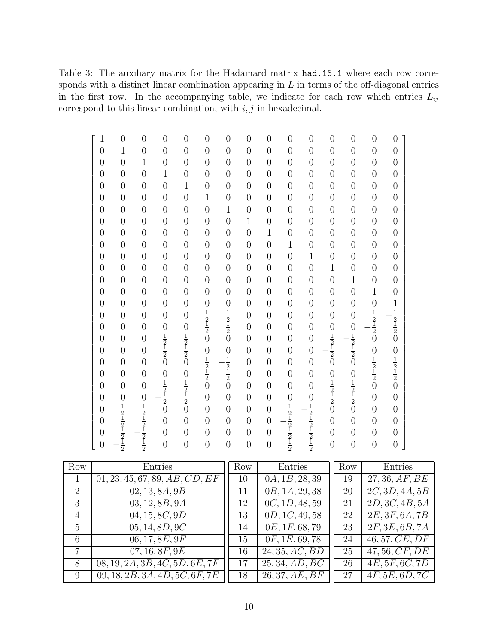<span id="page-9-0"></span>Table 3: The auxiliary matrix for the Hadamard matrix had.16.1 where each row corresponds with a distinct linear combination appearing in  $L$  in terms of the off-diagonal entries in the first row. In the accompanying table, we indicate for each row which entries  $L_{ij}$ correspond to this linear combination, with  $i, j$  in hexadecimal.

| $\mathbf{1}$   | $\overline{0}$                                                        | $\boldsymbol{0}$             | $\overline{0}$                  | $\boldsymbol{0}$                                        | $\overline{0}$                            | $\boldsymbol{0}$                | $\overline{0}$ | $\boldsymbol{0}$ | $\boldsymbol{0}$                                                      | $\boldsymbol{0}$                                                      | $\overline{0}$                                          | $\overline{0}$                            | $\overline{0}$                  | $\overline{0}$                                          |
|----------------|-----------------------------------------------------------------------|------------------------------|---------------------------------|---------------------------------------------------------|-------------------------------------------|---------------------------------|----------------|------------------|-----------------------------------------------------------------------|-----------------------------------------------------------------------|---------------------------------------------------------|-------------------------------------------|---------------------------------|---------------------------------------------------------|
| $\overline{0}$ | $\mathbf{1}$                                                          | $\overline{0}$               | $\overline{0}$                  | $\overline{0}$                                          | $\overline{0}$                            | $\overline{0}$                  | $\overline{0}$ | $\overline{0}$   | $\overline{0}$                                                        | $\overline{0}$                                                        | $\overline{0}$                                          | $\overline{0}$                            | $\overline{0}$                  | $\overline{0}$                                          |
| $\overline{0}$ | $\overline{0}$                                                        | $\mathbf{1}$                 | $\overline{0}$                  | $\overline{0}$                                          | $\overline{0}$                            | $\overline{0}$                  | $\overline{0}$ | $\overline{0}$   | $\overline{0}$                                                        | $\overline{0}$                                                        | $\overline{0}$                                          | $\overline{0}$                            | $\overline{0}$                  | $\overline{0}$                                          |
| $\overline{0}$ | $\overline{0}$                                                        | $\overline{0}$               | $\mathbf{1}$                    | $\boldsymbol{0}$                                        | $\overline{0}$                            | $\overline{0}$                  | $\overline{0}$ | $\overline{0}$   | $\overline{0}$                                                        | $\overline{0}$                                                        | $\overline{0}$                                          | $\overline{0}$                            | $\overline{0}$                  | $\overline{0}$                                          |
| $\overline{0}$ | $\overline{0}$                                                        | $\overline{0}$               | $\overline{0}$                  | $\mathbf 1$                                             | $\overline{0}$                            | $\overline{0}$                  | $\overline{0}$ | $\overline{0}$   | $\boldsymbol{0}$                                                      | $\boldsymbol{0}$                                                      | $\overline{0}$                                          | $\boldsymbol{0}$                          | $\overline{0}$                  | $\overline{0}$                                          |
| $\overline{0}$ | $\overline{0}$                                                        | $\overline{0}$               | $\overline{0}$                  | $\overline{0}$                                          | $\mathbf{1}$                              | $\overline{0}$                  | $\overline{0}$ | $\overline{0}$   | $\overline{0}$                                                        | $\overline{0}$                                                        | $\overline{0}$                                          | $\overline{0}$                            | $\overline{0}$                  | $\overline{0}$                                          |
| $\overline{0}$ | $\overline{0}$                                                        | $\overline{0}$               | $\overline{0}$                  | $\overline{0}$                                          | $\overline{0}$                            | $\mathbf 1$                     | $\overline{0}$ | $\overline{0}$   | $\overline{0}$                                                        | $\overline{0}$                                                        | $\overline{0}$                                          | $\overline{0}$                            | $\overline{0}$                  | $\overline{0}$                                          |
| $\overline{0}$ | $\overline{0}$                                                        | $\overline{0}$               | $\overline{0}$                  | $\overline{0}$                                          | $\overline{0}$                            | $\overline{0}$                  | $\mathbf{1}$   | $\overline{0}$   | $\overline{0}$                                                        | $\boldsymbol{0}$                                                      | $\overline{0}$                                          | $\boldsymbol{0}$                          | $\overline{0}$                  | $\overline{0}$                                          |
| $\overline{0}$ | $\overline{0}$                                                        | $\overline{0}$               | $\overline{0}$                  | $\overline{0}$                                          | $\overline{0}$                            | $\overline{0}$                  | $\overline{0}$ | $\mathbf{1}$     | $\boldsymbol{0}$                                                      | $\overline{0}$                                                        | $\overline{0}$                                          | $\overline{0}$                            | $\overline{0}$                  | $\overline{0}$                                          |
| $\overline{0}$ | $\overline{0}$                                                        | $\overline{0}$               | $\overline{0}$                  | $\overline{0}$                                          | $\overline{0}$                            | $\overline{0}$                  | $\overline{0}$ | $\overline{0}$   | $\mathbf{1}$                                                          | $\overline{0}$                                                        | $\overline{0}$                                          | $\overline{0}$                            | $\overline{0}$                  | $\overline{0}$                                          |
| $\overline{0}$ | $\overline{0}$                                                        | $\overline{0}$               | $\overline{0}$                  | $\overline{0}$                                          | $\overline{0}$                            | $\overline{0}$                  | $\overline{0}$ | $\overline{0}$   | $\overline{0}$                                                        | $\mathbf{1}$                                                          | $\overline{0}$                                          | $\overline{0}$                            | $\overline{0}$                  | $\overline{0}$                                          |
| $\overline{0}$ | $\overline{0}$                                                        | $\overline{0}$               | $\overline{0}$                  | $\overline{0}$                                          | $\overline{0}$                            | $\overline{0}$                  | $\overline{0}$ | $\overline{0}$   | $\overline{0}$                                                        | $\overline{0}$                                                        | $\mathbf{1}$                                            | $\overline{0}$                            | $\overline{0}$                  | $\overline{0}$                                          |
| $\overline{0}$ | $\overline{0}$                                                        | $\overline{0}$               | $\overline{0}$                  | $\overline{0}$                                          | $\overline{0}$                            | $\overline{0}$                  | $\overline{0}$ | $\overline{0}$   | $\overline{0}$                                                        | $\overline{0}$                                                        | $\overline{0}$                                          | $\mathbf{1}$                              | $\overline{0}$                  | $\overline{0}$                                          |
| $\overline{0}$ | $\overline{0}$                                                        | $\overline{0}$               | $\overline{0}$                  | $\overline{0}$                                          | $\overline{0}$                            | $\overline{0}$                  | $\overline{0}$ | $\overline{0}$   | $\overline{0}$                                                        | $\overline{0}$                                                        | $\overline{0}$                                          | $\overline{0}$                            | $\mathbf 1$                     | $\overline{0}$                                          |
| $\overline{0}$ | $\overline{0}$                                                        | $\overline{0}$               | $\overline{0}$                  | $\overline{0}$                                          | $\overline{0}$                            | $\overline{0}$                  | $\overline{0}$ | $\overline{0}$   | $\overline{0}$                                                        | $\overline{0}$                                                        | $\overline{0}$                                          | $\overline{0}$                            | $\overline{0}$                  |                                                         |
| $\overline{0}$ | $\overline{0}$                                                        | $\overline{0}$               | $\overline{0}$                  | $\overline{0}$                                          | $\frac{1}{2}$ $\frac{1}{2}$ $0$           | $\frac{1}{2}$ $\frac{1}{2}$ $0$ | $\overline{0}$ | $\overline{0}$   | $\overline{0}$                                                        | $\overline{0}$                                                        | $\overline{0}$                                          | $\overline{0}$                            | $\frac{1}{2}$ $\frac{1}{2}$ $0$ | $\frac{1}{2}$ $\frac{1}{2}$ $\frac{1}{2}$ $\frac{1}{2}$ |
| $\overline{0}$ | $\overline{0}$                                                        | $\overline{0}$               | $\boldsymbol{0}$                |                                                         |                                           |                                 | $\overline{0}$ | $\overline{0}$   | $\overline{0}$                                                        | $\overline{0}$                                                        | $\overline{0}$                                          |                                           |                                 |                                                         |
| $\overline{0}$ | $\overline{0}$                                                        | $\overline{0}$               | $\frac{1}{2}$ $\frac{1}{2}$ $0$ | $\frac{1}{2}$ $\frac{1}{2}$ $\frac{1}{2}$ $\frac{1}{2}$ |                                           |                                 | $\overline{0}$ | $\overline{0}$   | $\overline{0}$                                                        | $\overline{0}$                                                        | $\frac{1}{2}$ $\frac{1}{2}$ $\frac{1}{2}$ $\frac{1}{0}$ | $\frac{1}{2}$ $\frac{1}{2}$ $\frac{1}{2}$ |                                 |                                                         |
| $\overline{0}$ | $\overline{0}$                                                        | $\overline{0}$               |                                 |                                                         |                                           | $\overline{0}$                  | $\overline{0}$ | $\overline{0}$   | $\overline{0}$                                                        | $\overline{0}$                                                        |                                                         |                                           | $\overline{0}$                  |                                                         |
| $\overline{0}$ | $\overline{0}$                                                        | $\overline{0}$               |                                 |                                                         |                                           |                                 | $\overline{0}$ | $\overline{0}$   | $\overline{0}$                                                        | $\overline{0}$                                                        |                                                         |                                           |                                 |                                                         |
| $\overline{0}$ | $\overline{0}$                                                        | $\overline{0}$               | $\boldsymbol{0}$                |                                                         | $\frac{1}{2}$ $\frac{1}{2}$ $\frac{1}{2}$ | $\frac{1}{2}$ $\frac{1}{2}$ $0$ | $\overline{0}$ | $\overline{0}$   | $\overline{0}$                                                        | $\overline{0}$                                                        | $\boldsymbol{0}$                                        |                                           | $\frac{1}{2}$ $\frac{1}{2}$ $0$ | $01/221/22$                                             |
| $\overline{0}$ | $\overline{0}$                                                        | $\overline{0}$               | $\frac{1}{2}$ $\frac{1}{2}$ $0$ | $\frac{0}{2}$                                           |                                           |                                 | $\overline{0}$ | $\overline{0}$   | $\overline{0}$                                                        | $\overline{0}$                                                        | $\frac{1}{2}$ $\frac{1}{2}$                             | $\frac{1}{2}$ $\frac{1}{2}$ $\frac{1}{2}$ |                                 |                                                         |
| $\overline{0}$ | $\overline{0}$                                                        |                              |                                 |                                                         | $\overline{0}$                            | $\overline{0}$                  | $\overline{0}$ | $\overline{0}$   | $\overline{0}$                                                        | $\overline{0}$                                                        |                                                         |                                           | $\overline{0}$                  | $\overline{0}$                                          |
| $\overline{0}$ |                                                                       |                              |                                 | $\overline{0}$                                          | $\overline{0}$                            | $\overline{0}$                  | $\overline{0}$ | $\overline{0}$   |                                                                       |                                                                       | $\overline{0}$                                          |                                           | $\overline{0}$                  | $\overline{0}$                                          |
| $\overline{0}$ |                                                                       |                              | $\overline{0}$                  | $\overline{0}$                                          | $\overline{0}$                            | $\overline{0}$                  | $\overline{0}$ | $\overline{0}$   |                                                                       |                                                                       | $\overline{0}$                                          | $\overline{0}$                            | $\overline{0}$                  | $\overline{0}$                                          |
| $\overline{0}$ | $\frac{1}{2}$ $\frac{1}{2}$ $\frac{1}{2}$ $\frac{1}{2}$ $\frac{1}{2}$ | 0 <sub>1/21/21/21/21/2</sub> | $\overline{0}$                  | $\overline{0}$                                          | $\overline{0}$                            | $\overline{0}$                  | $\overline{0}$ | $\overline{0}$   | $\frac{1}{2}$ $\frac{1}{2}$ $\frac{1}{2}$ $\frac{1}{2}$ $\frac{1}{2}$ | $\frac{1}{2}$ $\frac{1}{2}$ $\frac{1}{2}$ $\frac{1}{2}$ $\frac{1}{2}$ | $\overline{0}$                                          | $\boldsymbol{0}$                          | $\boldsymbol{0}$                | $\boldsymbol{0}$                                        |
| $\overline{0}$ |                                                                       |                              | $\overline{0}$                  | $\overline{0}$                                          | $\overline{0}$                            | $\overline{0}$                  | $\overline{0}$ | $\overline{0}$   |                                                                       |                                                                       | $\overline{0}$                                          | $\overline{0}$                            | $\overline{0}$                  | $\overline{0}$                                          |

| Row            | Entries                        | Row | Entries        | Row | Entries                     |
|----------------|--------------------------------|-----|----------------|-----|-----------------------------|
|                | 01, 23, 45, 67, 89, AB, CD, EF | 10  | 0A, 1B, 28, 39 | 19  | 27, 36, AF, BE              |
| $\overline{2}$ | 02, 13, 8A, 9B                 | 11  | 0B, 1A, 29, 38 | 20  | 2C, 3D, 4A, 5B              |
| 3              | 03, 12, 8B, 9A                 | 12  | 0C, 1D, 48, 59 | 21  | 2D, 3C, 4B, 5A              |
| $\overline{4}$ | 04, 15, 8C, 9D                 | 13  | 0D, 1C, 49, 58 | 22  | 2E, 3F, 6A, 7B              |
| 5              | 05, 14, 8D, 9C                 | 14  | 0E, 1F, 68, 79 | 23  | 2F, 3E, 6B, 7A              |
| 6              | 06, 17, 8E, 9F                 | 15  | 0F, 1E, 69, 78 | 24  | 46, 57, CE, DF              |
| $\overline{7}$ | 07, 16, 8F, 9E                 | 16  | 24, 35, AC, BD | 25  | 47, 56, CF, DE              |
| 8              | 08, 19, 2A, 3B, 4C, 5D, 6E, 7F | 17  | 25, 34, AD, BC | 26  | $\overline{4E, 5F, 6C, 7D}$ |
| 9              | 09, 18, 2B, 3A, 4D, 5C, 6F, 7E | 18  | 26, 37, AE, BF | 27  | 4F, 5E, 6D, 7C              |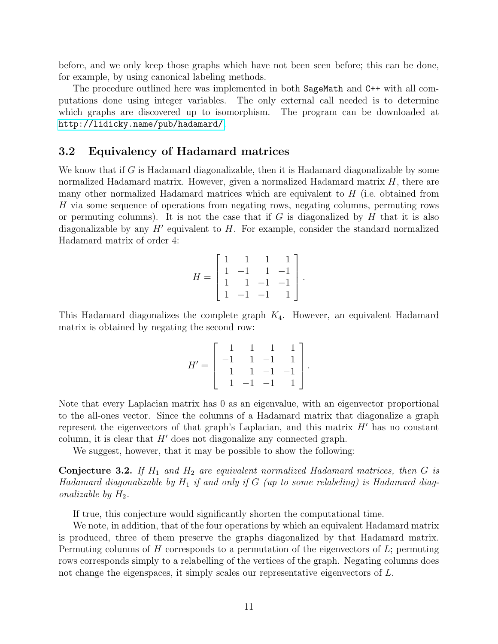before, and we only keep those graphs which have not been seen before; this can be done, for example, by using canonical labeling methods.

The procedure outlined here was implemented in both SageMath and C++ with all computations done using integer variables. The only external call needed is to determine which graphs are discovered up to isomorphism. The program can be downloaded at <http://lidicky.name/pub/hadamard/>.

#### 3.2 Equivalency of Hadamard matrices

We know that if  $G$  is Hadamard diagonalizable, then it is Hadamard diagonalizable by some normalized Hadamard matrix. However, given a normalized Hadamard matrix  $H$ , there are many other normalized Hadamard matrices which are equivalent to H (i.e. obtained from H via some sequence of operations from negating rows, negating columns, permuting rows or permuting columns). It is not the case that if G is diagonalized by H that it is also diagonalizable by any  $H'$  equivalent to  $H$ . For example, consider the standard normalized Hadamard matrix of order 4:

$$
H = \left[ \begin{array}{rrrr} 1 & 1 & 1 & 1 \\ 1 & -1 & 1 & -1 \\ 1 & 1 & -1 & -1 \\ 1 & -1 & -1 & 1 \end{array} \right].
$$

This Hadamard diagonalizes the complete graph  $K_4$ . However, an equivalent Hadamard matrix is obtained by negating the second row:

$$
H' = \left[ \begin{array}{rrrr} 1 & 1 & 1 & 1 \\ -1 & 1 & -1 & 1 \\ 1 & 1 & -1 & -1 \\ 1 & -1 & -1 & 1 \end{array} \right].
$$

Note that every Laplacian matrix has 0 as an eigenvalue, with an eigenvector proportional to the all-ones vector. Since the columns of a Hadamard matrix that diagonalize a graph represent the eigenvectors of that graph's Laplacian, and this matrix  $H'$  has no constant column, it is clear that  $H'$  does not diagonalize any connected graph.

We suggest, however, that it may be possible to show the following:

<span id="page-10-0"></span>Conjecture 3.2. *If* H<sup>1</sup> *and* H<sup>2</sup> *are equivalent normalized Hadamard matrices, then* G *is Hadamard diagonalizable by*  $H_1$  *if and only if* G (*up to some relabeling*) *is Hadamard diagonalizable by*  $H_2$ *.* 

If true, this conjecture would significantly shorten the computational time.

We note, in addition, that of the four operations by which an equivalent Hadamard matrix is produced, three of them preserve the graphs diagonalized by that Hadamard matrix. Permuting columns of  $H$  corresponds to a permutation of the eigenvectors of  $L$ ; permuting rows corresponds simply to a relabelling of the vertices of the graph. Negating columns does not change the eigenspaces, it simply scales our representative eigenvectors of L.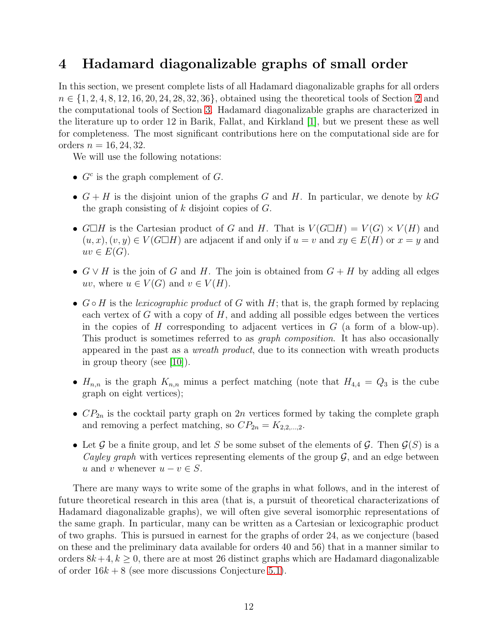# <span id="page-11-0"></span>4 Hadamard diagonalizable graphs of small order

In this section, we present complete lists of all Hadamard diagonalizable graphs for all orders  $n \in \{1, 2, 4, 8, 12, 16, 20, 24, 28, 32, 36\}$  $n \in \{1, 2, 4, 8, 12, 16, 20, 24, 28, 32, 36\}$  $n \in \{1, 2, 4, 8, 12, 16, 20, 24, 28, 32, 36\}$ , obtained using the theoretical tools of Section 2 and the computational tools of Section [3.](#page-5-0) Hadamard diagonalizable graphs are characterized in the literature up to order 12 in Barik, Fallat, and Kirkland [\[1\]](#page-20-0), but we present these as well for completeness. The most significant contributions here on the computational side are for orders  $n = 16, 24, 32$ .

We will use the following notations:

- $G<sup>c</sup>$  is the graph complement of  $G$ .
- $G + H$  is the disjoint union of the graphs G and H. In particular, we denote by  $kG$ the graph consisting of  $k$  disjoint copies of  $G$ .
- $G \square H$  is the Cartesian product of G and H. That is  $V(G \square H) = V(G) \times V(H)$  and  $(u, x), (v, y) \in V(G \square H)$  are adjacent if and only if  $u = v$  and  $xy \in E(H)$  or  $x = y$  and  $uv \in E(G)$ .
- $G \vee H$  is the join of G and H. The join is obtained from  $G + H$  by adding all edges uv, where  $u \in V(G)$  and  $v \in V(H)$ .
- G H is the *lexicographic product* of G with H; that is, the graph formed by replacing each vertex of G with a copy of  $H$ , and adding all possible edges between the vertices in the copies of H corresponding to adjacent vertices in  $G$  (a form of a blow-up). This product is sometimes referred to as *graph composition*. It has also occasionally appeared in the past as a *wreath product*, due to its connection with wreath products in group theory (see [\[10\]](#page-21-1)).
- $H_{n,n}$  is the graph  $K_{n,n}$  minus a perfect matching (note that  $H_{4,4} = Q_3$  is the cube graph on eight vertices);
- $CP_{2n}$  is the cocktail party graph on 2n vertices formed by taking the complete graph and removing a perfect matching, so  $CP_{2n} = K_{2,2,...,2}$ .
- Let G be a finite group, and let S be some subset of the elements of G. Then  $\mathcal{G}(S)$  is a *Cayley graph* with vertices representing elements of the group  $G$ , and an edge between u and v whenever  $u - v \in S$ .

There are many ways to write some of the graphs in what follows, and in the interest of future theoretical research in this area (that is, a pursuit of theoretical characterizations of Hadamard diagonalizable graphs), we will often give several isomorphic representations of the same graph. In particular, many can be written as a Cartesian or lexicographic product of two graphs. This is pursued in earnest for the graphs of order 24, as we conjecture (based on these and the preliminary data available for orders 40 and 56) that in a manner similar to orders  $8k+4$ ,  $k \geq 0$ , there are at most 26 distinct graphs which are Hadamard diagonalizable of order  $16k + 8$  (see more discussions Conjecture [5.1\)](#page-19-1).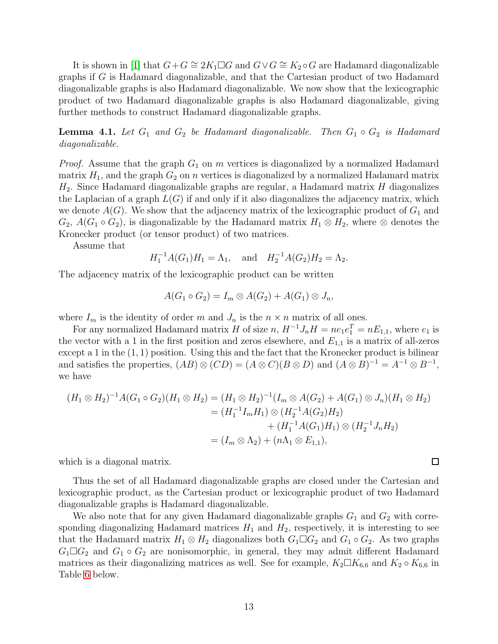It is shown in [\[1\]](#page-20-0) that  $G+G \cong 2K_1 \square G$  and  $G \vee G \cong K_2 \circ G$  are Hadamard diagonalizable graphs if G is Hadamard diagonalizable, and that the Cartesian product of two Hadamard diagonalizable graphs is also Hadamard diagonalizable. We now show that the lexicographic product of two Hadamard diagonalizable graphs is also Hadamard diagonalizable, giving further methods to construct Hadamard diagonalizable graphs.

**Lemma 4.1.** Let  $G_1$  and  $G_2$  be Hadamard diagonalizable. Then  $G_1 \circ G_2$  is Hadamard *diagonalizable.*

*Proof.* Assume that the graph  $G_1$  on m vertices is diagonalized by a normalized Hadamard matrix  $H_1$ , and the graph  $G_2$  on n vertices is diagonalized by a normalized Hadamard matrix  $H_2$ . Since Hadamard diagonalizable graphs are regular, a Hadamard matrix H diagonalizes the Laplacian of a graph  $L(G)$  if and only if it also diagonalizes the adjacency matrix, which we denote  $A(G)$ . We show that the adjacency matrix of the lexicographic product of  $G_1$  and  $G_2$ ,  $A(G_1 \circ G_2)$ , is diagonalizable by the Hadamard matrix  $H_1 \otimes H_2$ , where  $\otimes$  denotes the Kronecker product (or tensor product) of two matrices.

Assume that

$$
H_1^{-1}A(G_1)H_1 = \Lambda_1
$$
, and  $H_2^{-1}A(G_2)H_2 = \Lambda_2$ .

The adjacency matrix of the lexicographic product can be written

$$
A(G_1 \circ G_2) = I_m \otimes A(G_2) + A(G_1) \otimes J_n,
$$

where  $I_m$  is the identity of order m and  $J_n$  is the  $n \times n$  matrix of all ones.

For any normalized Hadamard matrix H of size  $n$ ,  $H^{-1}J_nH = ne_1e_1^T = nE_{1,1}$ , where  $e_1$  is the vector with a 1 in the first position and zeros elsewhere, and  $E_{1,1}$  is a matrix of all-zeros except a 1 in the  $(1, 1)$  position. Using this and the fact that the Kronecker product is bilinear and satisfies the properties,  $(AB) \otimes (CD) = (A \otimes C)(B \otimes D)$  and  $(A \otimes B)^{-1} = A^{-1} \otimes B^{-1}$ , we have

$$
(H_1 \otimes H_2)^{-1} A(G_1 \circ G_2)(H_1 \otimes H_2) = (H_1 \otimes H_2)^{-1} (I_m \otimes A(G_2) + A(G_1) \otimes J_n)(H_1 \otimes H_2)
$$
  
=  $(H_1^{-1} I_m H_1) \otimes (H_2^{-1} A(G_2) H_2)$   
+  $(H_1^{-1} A(G_1) H_1) \otimes (H_2^{-1} J_n H_2)$   
=  $(I_m \otimes \Lambda_2) + (n\Lambda_1 \otimes E_{1,1}),$ 

which is a diagonal matrix.

Thus the set of all Hadamard diagonalizable graphs are closed under the Cartesian and lexicographic product, as the Cartesian product or lexicographic product of two Hadamard diagonalizable graphs is Hadamard diagonalizable.

 $\Box$ 

We also note that for any given Hadamard diagonalizable graphs  $G_1$  and  $G_2$  with corresponding diagonalizing Hadamard matrices  $H_1$  and  $H_2$ , respectively, it is interesting to see that the Hadamard matrix  $H_1 \otimes H_2$  diagonalizes both  $G_1 \square G_2$  and  $G_1 \circ G_2$ . As two graphs  $G_1 \square G_2$  and  $G_1 \circ G_2$  are nonisomorphic, in general, they may admit different Hadamard matrices as their diagonalizing matrices as well. See for example,  $K_2 \Box K_{6,6}$  and  $K_2 \circ K_{6,6}$  in Table [6](#page-16-0) below.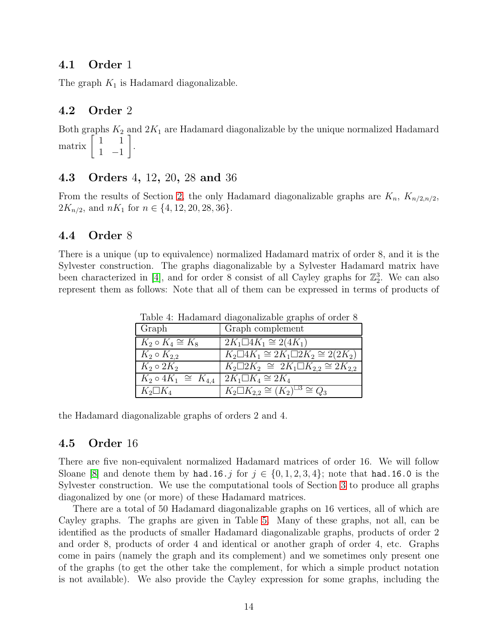### 4.1 Order 1

The graph  $K_1$  is Hadamard diagonalizable.

### 4.2 Order 2

Both graphs  $K_2$  and  $2K_1$  are Hadamard diagonalizable by the unique normalized Hadamard  $\arcsin \begin{bmatrix} 1 & 1 \\ 1 & 1 \end{bmatrix}$ 1 −1 1 .

### 4.3 Orders 4, 12, 20, 28 and 36

From the results of Section [2,](#page-3-0) the only Hadamard diagonalizable graphs are  $K_n$ ,  $K_{n/2,n/2}$ ,  $2K_{n/2}$ , and  $nK_1$  for  $n \in \{4, 12, 20, 28, 36\}.$ 

#### 4.4 Order 8

There is a unique (up to equivalence) normalized Hadamard matrix of order 8, and it is the Sylvester construction. The graphs diagonalizable by a Sylvester Hadamard matrix have been characterized in [\[4\]](#page-20-2), and for order 8 consist of all Cayley graphs for  $\mathbb{Z}_2^3$ . We can also represent them as follows: Note that all of them can be expressed in terms of products of

| Graph                          | Graph complement                                       |
|--------------------------------|--------------------------------------------------------|
| $K_2 \circ K_4 \cong K_8$      | $2K_1 \Box 4K_1 \cong 2(4K_1)$                         |
| $K_2 \circ K_{2,2}$            | $K_2 \Box 4K_1 \cong 2K_1 \Box 2K_2 \cong 2(2K_2)$     |
| $K_2 \circ 2K_2$               | $K_2 \Box 2K_2 \cong 2K_1 \Box K_{2,2} \cong 2K_{2,2}$ |
| $K_2 \circ 4K_1 \cong K_{4,4}$ | $2K_1\Box K_4\cong 2K_4$                               |
| $K_2\square K_4$               | $K_2 \Box K_{2,2} \cong (K_2)^{\Box 3} \cong Q_3$      |

Table 4: Hadamard diagonalizable graphs of order 8

the Hadamard diagonalizable graphs of orders 2 and 4.

#### 4.5 Order 16

There are five non-equivalent normalized Hadamard matrices of order 16. We will follow Sloane [\[8\]](#page-21-0) and denote them by had.16.j for  $j \in \{0, 1, 2, 3, 4\}$ ; note that had.16.0 is the Sylvester construction. We use the computational tools of Section [3](#page-5-0) to produce all graphs diagonalized by one (or more) of these Hadamard matrices.

There are a total of 50 Hadamard diagonalizable graphs on 16 vertices, all of which are Cayley graphs. The graphs are given in Table [5.](#page-15-0) Many of these graphs, not all, can be identified as the products of smaller Hadamard diagonalizable graphs, products of order 2 and order 8, products of order 4 and identical or another graph of order 4, etc. Graphs come in pairs (namely the graph and its complement) and we sometimes only present one of the graphs (to get the other take the complement, for which a simple product notation is not available). We also provide the Cayley expression for some graphs, including the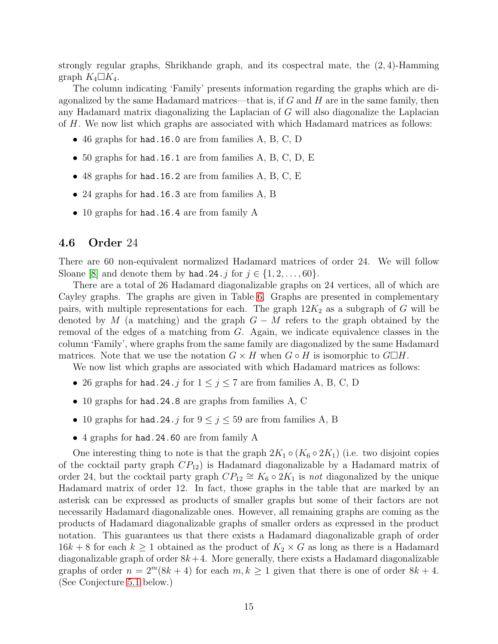strongly regular graphs, Shrikhande graph, and its cospectral mate, the (2, 4)-Hamming graph  $K_4\square K_4$ .

The column indicating 'Family' presents information regarding the graphs which are diagonalized by the same Hadamard matrices—that is, if  $G$  and  $H$  are in the same family, then any Hadamard matrix diagonalizing the Laplacian of G will also diagonalize the Laplacian of H. We now list which graphs are associated with which Hadamard matrices as follows:

- 46 graphs for had.16.0 are from families A, B, C, D
- 50 graphs for had.16.1 are from families  $A, B, C, D, E$
- 48 graphs for had.16.2 are from families A, B, C, E
- 24 graphs for had.16.3 are from families A, B
- 10 graphs for had.16.4 are from family A

#### 4.6 Order 24

There are 60 non-equivalent normalized Hadamard matrices of order 24. We will follow Sloane [\[8\]](#page-21-0) and denote them by had.24. j for  $j \in \{1, 2, \ldots, 60\}$ .

There are a total of 26 Hadamard diagonalizable graphs on 24 vertices, all of which are Cayley graphs. The graphs are given in Table [6.](#page-16-0) Graphs are presented in complementary pairs, with multiple representations for each. The graph  $12K_2$  as a subgraph of G will be denoted by M (a matching) and the graph  $G - M$  refers to the graph obtained by the removal of the edges of a matching from G. Again, we indicate equivalence classes in the column 'Family', where graphs from the same family are diagonalized by the same Hadamard matrices. Note that we use the notation  $G \times H$  when  $G \circ H$  is isomorphic to  $G \Box H$ .

We now list which graphs are associated with which Hadamard matrices as follows:

- 26 graphs for had. 24. j for  $1 \le j \le 7$  are from families A, B, C, D
- 10 graphs for had.24.8 are graphs from families A, C
- 10 graphs for had. 24. j for  $9 \le j \le 59$  are from families A, B
- 4 graphs for had.24.60 are from family A

One interesting thing to note is that the graph  $2K_1 \circ (K_6 \circ 2K_1)$  (i.e. two disjoint copies of the cocktail party graph  $CP_{12}$ ) is Hadamard diagonalizable by a Hadamard matrix of order 24, but the cocktail party graph  $CP_{12} \cong K_6 \circ 2K_1$  is *not* diagonalized by the unique Hadamard matrix of order 12. In fact, those graphs in the table that are marked by an asterisk can be expressed as products of smaller graphs but some of their factors are not necessarily Hadamard diagonalizable ones. However, all remaining graphs are coming as the products of Hadamard diagonalizable graphs of smaller orders as expressed in the product notation. This guarantees us that there exists a Hadamard diagonalizable graph of order  $16k + 8$  for each  $k \ge 1$  obtained as the product of  $K_2 \times G$  as long as there is a Hadamard diagonalizable graph of order  $8k+4$ . More generally, there exists a Hadamard diagonalizable graphs of order  $n = 2^m(8k + 4)$  for each  $m, k \ge 1$  given that there is one of order  $8k + 4$ . (See Conjecture [5.1](#page-19-1) below.)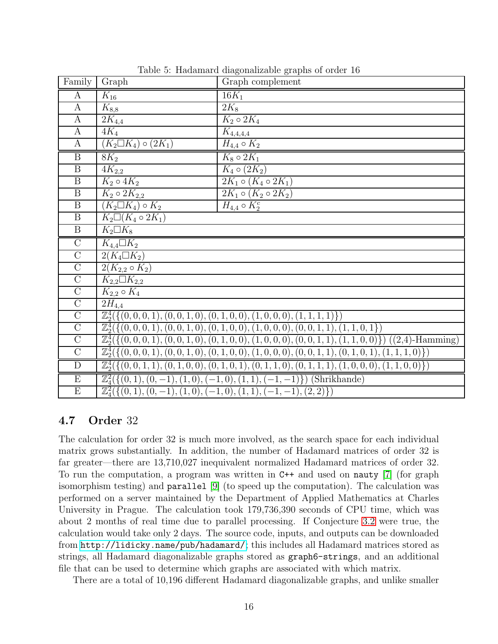| Family                  | Graph                                                                                                      | $\cdot$ .<br>Graph complement                                                                         |  |  |  |  |  |  |
|-------------------------|------------------------------------------------------------------------------------------------------------|-------------------------------------------------------------------------------------------------------|--|--|--|--|--|--|
| $\mathbf{A}$            | $K_{16}$                                                                                                   | $16K_1$                                                                                               |  |  |  |  |  |  |
| $\mathbf{A}$            | $\overline{K}_{8,8}$                                                                                       | $2K_8$                                                                                                |  |  |  |  |  |  |
| $\mathbf{A}$            | $2K_{4,4}$                                                                                                 | $K_2 \circ 2K_4$                                                                                      |  |  |  |  |  |  |
| $\bf{A}$                | $4K_4$                                                                                                     | $K_{4,4,4,4}$                                                                                         |  |  |  |  |  |  |
| $\bf{A}$                | $(K_2 \square K_4) \circ (2K_1)$                                                                           | $H_{4,4} \circ K_2$                                                                                   |  |  |  |  |  |  |
| $\overline{\mathbf{B}}$ | $8K_2$                                                                                                     | $K_8 \circ 2K_1$                                                                                      |  |  |  |  |  |  |
| $\overline{B}$          | $\overline{4K_{2,2}}$                                                                                      | $K_4 \circ (2K_2)$                                                                                    |  |  |  |  |  |  |
| $\overline{B}$          | $K_2 \circ 4K_2$                                                                                           | $2K_1 \circ (K_4 \circ 2K_1)$                                                                         |  |  |  |  |  |  |
| $\overline{B}$          | $K_2 \circ 2K_{2,2}$                                                                                       | $2K_1 \circ (K_2 \circ 2K_2)$                                                                         |  |  |  |  |  |  |
| $\overline{B}$          | $(K_2 \Box K_4) \circ K_2$                                                                                 | $\overline{H_{4,4}} \circ K_2^c$                                                                      |  |  |  |  |  |  |
| $\overline{B}$          | $K_2\Box (K_4 \circ 2K_1)$                                                                                 |                                                                                                       |  |  |  |  |  |  |
| $\overline{B}$          | $K_2 \Box K_8$                                                                                             |                                                                                                       |  |  |  |  |  |  |
| $\overline{C}$          | $K_{4,4}\square K_2$                                                                                       |                                                                                                       |  |  |  |  |  |  |
| $\overline{C}$          | $2(K_4\Box K_2)$                                                                                           |                                                                                                       |  |  |  |  |  |  |
| $\overline{C}$          | $2(K_{2,2}\circ K_2)$                                                                                      |                                                                                                       |  |  |  |  |  |  |
| $\overline{C}$          | $K_{2,2}\Box K_{2,2}$                                                                                      |                                                                                                       |  |  |  |  |  |  |
| $\overline{C}$          | $K_{2,2}\circ K_4$                                                                                         |                                                                                                       |  |  |  |  |  |  |
| $\overline{C}$          | $2H_{4,4}$                                                                                                 |                                                                                                       |  |  |  |  |  |  |
| $\overline{C}$          |                                                                                                            | $\mathbb{Z}_{2}^{4}(\{(0,0,0,1), (0,0,1,0), (0,1,0,0), (1,0,0,0), (1,1,1,1)\})$                       |  |  |  |  |  |  |
| $\overline{C}$          | $\mathbb{Z}_{2}^{4}(\{(0,0,0,1), (0,0,1,0), (0,1,0,0), (1,0,0,0), (0,0,1,1), (1,1,0,1\})$                  |                                                                                                       |  |  |  |  |  |  |
| $\overline{C}$          | $\mathbb{Z}_{2}^{4}(\{(0,0,0,1), (0,0,1,0), (0,1,0,0), (1,0,0,0), (0,0,1,1), (1,1,0,0)\})$ ((2,4)-Hamming) |                                                                                                       |  |  |  |  |  |  |
| $\overline{C}$          | $\mathbb{Z}_{2}^{4}(\{(0,0,0,1), (0,0,1,0), (0,1,0,0), (1,0,0,0), (0,0,1,1), (0,1,0,1), (1,1,1,0)\})$      |                                                                                                       |  |  |  |  |  |  |
| $\overline{D}$          |                                                                                                            | $\mathbb{Z}_{2}^{4}(\{(0,0,1,1), (0,1,0,0), (0,1,0,1), (0,1,1,0), (0,1,1,1), (1,0,0,0), (1,1,0,0)\})$ |  |  |  |  |  |  |
|                         |                                                                                                            |                                                                                                       |  |  |  |  |  |  |
| $\overline{E}$          | $\mathbb{Z}_{4}^{2}(\{(0,1), (0,-\overline{1}), (1,0), (-1,0), (1,1), (-1,-1)\})$ (Shrikhande)             |                                                                                                       |  |  |  |  |  |  |

<span id="page-15-0"></span>Table 5: Hadamard diagonalizable graphs of order 16

### 4.7 Order 32

The calculation for order 32 is much more involved, as the search space for each individual matrix grows substantially. In addition, the number of Hadamard matrices of order 32 is far greater—there are 13,710,027 inequivalent normalized Hadamard matrices of order 32. To run the computation, a program was written in C++ and used on nauty [\[7\]](#page-20-5) (for graph isomorphism testing) and parallel [\[9\]](#page-21-2) (to speed up the computation). The calculation was performed on a server maintained by the Department of Applied Mathematics at Charles University in Prague. The calculation took 179,736,390 seconds of CPU time, which was about 2 months of real time due to parallel processing. If Conjecture [3.2](#page-10-0) were true, the calculation would take only 2 days. The source code, inputs, and outputs can be downloaded from <http://lidicky.name/pub/hadamard/>; this includes all Hadamard matrices stored as strings, all Hadamard diagonalizable graphs stored as graph6-strings, and an additional file that can be used to determine which graphs are associated with which matrix.

There are a total of 10,196 different Hadamard diagonalizable graphs, and unlike smaller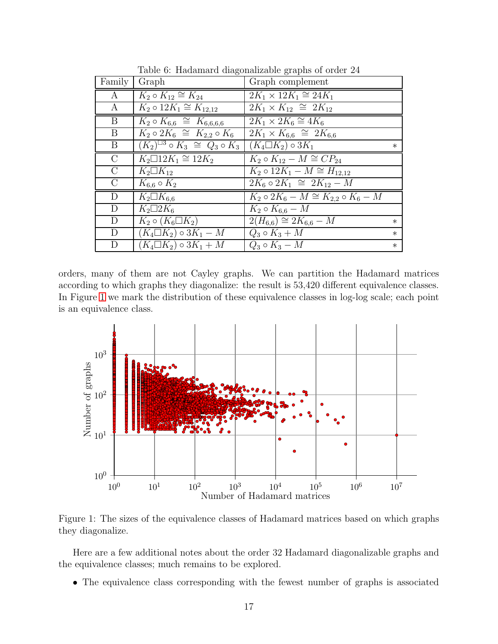|                |                                                                                     | $10000$ of the definition and contentation statements of $1000$ |        |
|----------------|-------------------------------------------------------------------------------------|-----------------------------------------------------------------|--------|
| Family         | Graph                                                                               | Graph complement                                                |        |
| $\bf{A}$       | $K_2 \circ K_{12} \cong K_{24}$                                                     | $2K_1 \times 12K_1 \cong 24K_1$                                 |        |
| A              | $K_2 \circ 12K_1 \cong K_{12,12}$                                                   | $2K_1 \times K_{12} \cong 2K_{12}$                              |        |
| B              | $K_2 \circ K_{6,6} \cong K_{6,6,6,6}$                                               | $2K_1 \times 2K_6 \cong 4K_6$                                   |        |
| B              | $\overline{K_2 \circ 2K_6} \cong K_{2,2} \circ K_6$                                 | $2K_1 \times K_{6,6} \cong 2K_{6,6}$                            |        |
| B              | $(K_2)^{\square 3} \circ K_3 \cong Q_3 \circ K_3 \mid (K_4 \square K_2) \circ 3K_1$ |                                                                 | $\ast$ |
| $\overline{C}$ | $K_2 \square 12K_1 \cong 12K_2$                                                     | $K_2 \circ K_{12} - M \cong CP_{24}$                            |        |
| $\rm C$        | $K_2\square K_{12}$                                                                 | $K_2 \circ 12K_1 - M \cong H_{12,12}$                           |        |
| $\mathcal{C}$  | $K_{6,6} \circ K_2$                                                                 | $2K_6 \circ 2K_1 \cong 2K_{12} - M$                             |        |
| D              | $K_2\square K_{6,6}$                                                                | $K_2 \circ 2K_6 - M \cong K_{2,2} \circ K_6 - M$                |        |
| D              | $K_2\Box 2K_6$                                                                      | $K_2 \circ K_{6,6} - M$                                         |        |
| D              | $K_2 \circ (K_6 \Box K_2)$                                                          | $2(H_{6,6}) \cong 2K_{6,6} - M$                                 | $\ast$ |
| D              | $(K_4 \square K_2) \circ 3K_1 - M$                                                  | $Q_3 \circ K_3 + M$                                             | $\ast$ |
| D              | $(K_4\Box K_2)\circ 3K_1+M$                                                         | $Q_3 \circ K_3 - M$                                             | $\ast$ |

<span id="page-16-0"></span>Table 6: Hadamard diagonalizable graphs of order 24

orders, many of them are not Cayley graphs. We can partition the Hadamard matrices according to which graphs they diagonalize: the result is 53,420 different equivalence classes. In Figure [1](#page-16-1) we mark the distribution of these equivalence classes in log-log scale; each point is an equivalence class.



<span id="page-16-1"></span>Figure 1: The sizes of the equivalence classes of Hadamard matrices based on which graphs they diagonalize.

Here are a few additional notes about the order 32 Hadamard diagonalizable graphs and the equivalence classes; much remains to be explored.

• The equivalence class corresponding with the fewest number of graphs is associated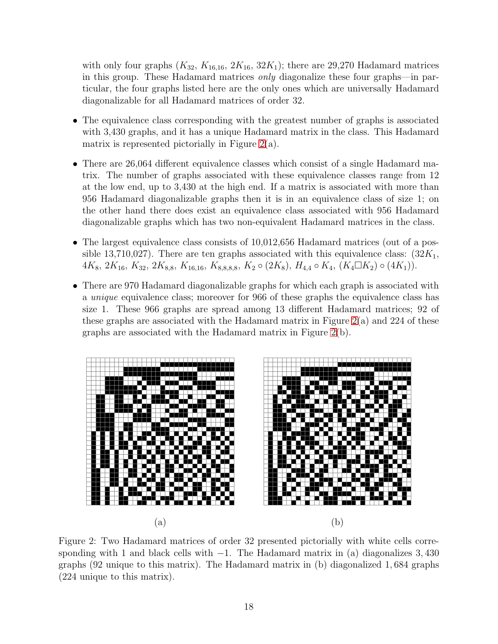with only four graphs  $(K_{32}, K_{16,16}, 2K_{16}, 32K_1)$ ; there are 29,270 Hadamard matrices in this group. These Hadamard matrices *only* diagonalize these four graphs—in particular, the four graphs listed here are the only ones which are universally Hadamard diagonalizable for all Hadamard matrices of order 32.

- The equivalence class corresponding with the greatest number of graphs is associated with 3,430 graphs, and it has a unique Hadamard matrix in the class. This Hadamard matrix is represented pictorially in Figure  $2(a)$ .
- There are 26,064 different equivalence classes which consist of a single Hadamard matrix. The number of graphs associated with these equivalence classes range from 12 at the low end, up to 3,430 at the high end. If a matrix is associated with more than 956 Hadamard diagonalizable graphs then it is in an equivalence class of size 1; on the other hand there does exist an equivalence class associated with 956 Hadamard diagonalizable graphs which has two non-equivalent Hadamard matrices in the class.
- The largest equivalence class consists of 10,012,656 Hadamard matrices (out of a possible 13,710,027). There are ten graphs associated with this equivalence class:  $(32K_1,$  $4K_8, 2K_{16}, K_{32}, 2K_{8,8}, K_{16,16}, K_{8,8,8,8}, K_2 \circ (2K_8), H_{4,4} \circ K_4, (K_4 \square K_2) \circ (4K_1)).$
- There are 970 Hadamard diagonalizable graphs for which each graph is associated with a *unique* equivalence class; moreover for 966 of these graphs the equivalence class has size 1. These 966 graphs are spread among 13 different Hadamard matrices; 92 of these graphs are associated with the Hadamard matrix in Figure  $2(a)$  and  $224$  of these graphs are associated with the Hadamard matrix in Figure [2\(](#page-17-0)b).



<span id="page-17-0"></span>Figure 2: Two Hadamard matrices of order 32 presented pictorially with white cells corresponding with 1 and black cells with  $-1$ . The Hadamard matrix in (a) diagonalizes 3,430 graphs (92 unique to this matrix). The Hadamard matrix in (b) diagonalized 1, 684 graphs (224 unique to this matrix).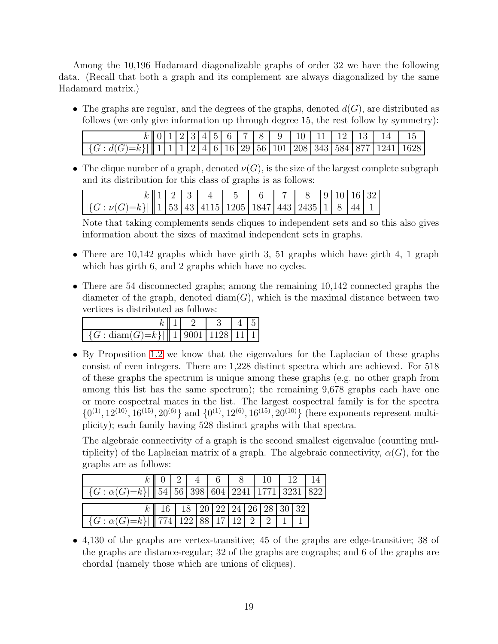Among the 10,196 Hadamard diagonalizable graphs of order 32 we have the following data. (Recall that both a graph and its complement are always diagonalized by the same Hadamard matrix.)

• The graphs are regular, and the degrees of the graphs, denoted  $d(G)$ , are distributed as follows (we only give information up through degree 15, the rest follow by symmetry):

|                                                                                                                                                                                 |  |  |  |  |  |  |  | $k \  0   1   2   3   4   5   6   7   8   9   10   11   12   13   14   15$ |  |
|---------------------------------------------------------------------------------------------------------------------------------------------------------------------------------|--|--|--|--|--|--|--|----------------------------------------------------------------------------|--|
| $\left[\left \left\{G: d(G)=k\right\}\right \right]$   $\left 1\right 1$   $1$   $2$   $4$   $6$   $16$   $29$   $56$   $101$   $208$   $343$   $584$   $877$   $1241$   $1628$ |  |  |  |  |  |  |  |                                                                            |  |

• The clique number of a graph, denoted  $\nu(G)$ , is the size of the largest complete subgraph and its distribution for this class of graphs is as follows:

|                                                                                                                                                                                                            |  |  | k  1 2 3 4 5 6 7 8 9 10 16 32 |  |  |  |
|------------------------------------------------------------------------------------------------------------------------------------------------------------------------------------------------------------|--|--|-------------------------------|--|--|--|
| $\left  \left  \left\{ G : \nu(G) = k \right\} \right  \right  \left  1 \right  53 \left  43 \right  4115 \left  1205 \right  1847 \left  443 \right  2435 \left  1 \right  8 \left  44 \right  1 \right $ |  |  |                               |  |  |  |

Note that taking complements sends cliques to independent sets and so this also gives information about the sizes of maximal independent sets in graphs.

- There are 10,142 graphs which have girth 3, 51 graphs which have girth 4, 1 graph which has girth 6, and 2 graphs which have no cycles.
- There are 54 disconnected graphs; among the remaining 10,142 connected graphs the diameter of the graph, denoted diam( $G$ ), which is the maximal distance between two vertices is distributed as follows:

| $\left[ \left  \{ G : \operatorname{diam}(G) = k \} \right  \right] \left[ 1 \right] 9001 \left  1128 \right  11 \left  1 \right]$ |  |  |  |
|------------------------------------------------------------------------------------------------------------------------------------|--|--|--|

• By Proposition [1.2](#page-2-0) we know that the eigenvalues for the Laplacian of these graphs consist of even integers. There are 1,228 distinct spectra which are achieved. For 518 of these graphs the spectrum is unique among these graphs (e.g. no other graph from among this list has the same spectrum); the remaining 9,678 graphs each have one or more cospectral mates in the list. The largest cospectral family is for the spectra  $\{0^{(1)}, 12^{(10)}, 16^{(15)}, 20^{(6)}\}$  and  $\{0^{(1)}, 12^{(6)}, 16^{(15)}, 20^{(10)}\}$  (here exponents represent multiplicity); each family having 528 distinct graphs with that spectra.

The algebraic connectivity of a graph is the second smallest eigenvalue (counting multiplicity) of the Laplacian matrix of a graph. The algebraic connectivity,  $\alpha(G)$ , for the graphs are as follows:

|                                                                                          |  | k    0    2    4    6                            |  | 8 10 12 |  |  |
|------------------------------------------------------------------------------------------|--|--------------------------------------------------|--|---------|--|--|
| $\left[ \left  \{ G : \alpha(G) = k \} \right  \right]$ 54 56 398 604 2241 1771 3231 822 |  |                                                  |  |         |  |  |
|                                                                                          |  | $k$   16   18   20   22   24   26   28   30   32 |  |         |  |  |
| $\left[ \left  \{ G : \alpha(G)=k \} \right  \right]$ [774   122   88   17   12   2   1  |  |                                                  |  |         |  |  |

• 4,130 of the graphs are vertex-transitive; 45 of the graphs are edge-transitive; 38 of the graphs are distance-regular; 32 of the graphs are cographs; and 6 of the graphs are chordal (namely those which are unions of cliques).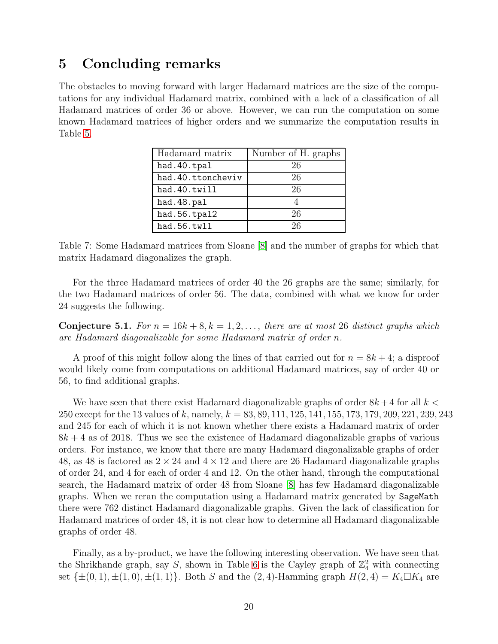## <span id="page-19-0"></span>5 Concluding remarks

The obstacles to moving forward with larger Hadamard matrices are the size of the computations for any individual Hadamard matrix, combined with a lack of a classification of all Hadamard matrices of order 36 or above. However, we can run the computation on some known Hadamard matrices of higher orders and we summarize the computation results in Table [5.](#page-19-0)

| Hadamard matrix   | Number of H. graphs |
|-------------------|---------------------|
| had. 40. tpal     | 26                  |
| had.40.ttoncheviv | 26                  |
| had.40.twill      | 26                  |
| had.48.pal        |                     |
| had.56.tpal2      | 26                  |
| had.56.twll       | 26                  |

Table 7: Some Hadamard matrices from Sloane [\[8\]](#page-21-0) and the number of graphs for which that matrix Hadamard diagonalizes the graph.

For the three Hadamard matrices of order 40 the 26 graphs are the same; similarly, for the two Hadamard matrices of order 56. The data, combined with what we know for order 24 suggests the following.

<span id="page-19-1"></span>**Conjecture 5.1.** For  $n = 16k + 8, k = 1, 2, \ldots$ , there are at most 26 distinct graphs which *are Hadamard diagonalizable for some Hadamard matrix of order* n*.*

A proof of this might follow along the lines of that carried out for  $n = 8k + 4$ ; a disproof would likely come from computations on additional Hadamard matrices, say of order 40 or 56, to find additional graphs.

We have seen that there exist Hadamard diagonalizable graphs of order  $8k+4$  for all  $k <$ 250 except for the 13 values of k, namely,  $k = 83, 89, 111, 125, 141, 155, 173, 179, 209, 221, 239, 243$ and 245 for each of which it is not known whether there exists a Hadamard matrix of order  $8k + 4$  as of 2018. Thus we see the existence of Hadamard diagonalizable graphs of various orders. For instance, we know that there are many Hadamard diagonalizable graphs of order 48, as 48 is factored as  $2 \times 24$  and  $4 \times 12$  and there are 26 Hadamard diagonalizable graphs of order 24, and 4 for each of order 4 and 12. On the other hand, through the computational search, the Hadamard matrix of order 48 from Sloane [\[8\]](#page-21-0) has few Hadamard diagonalizable graphs. When we reran the computation using a Hadamard matrix generated by SageMath there were 762 distinct Hadamard diagonalizable graphs. Given the lack of classification for Hadamard matrices of order 48, it is not clear how to determine all Hadamard diagonalizable graphs of order 48.

Finally, as a by-product, we have the following interesting observation. We have seen that the Shrikhande graph, say S, shown in Table [6](#page-16-0) is the Cayley graph of  $\mathbb{Z}_4^2$  with connecting set  $\{\pm(0,1), \pm(1,0), \pm(1,1)\}$ . Both S and the  $(2, 4)$ -Hamming graph  $H(2, 4) = K_4 \square K_4$  are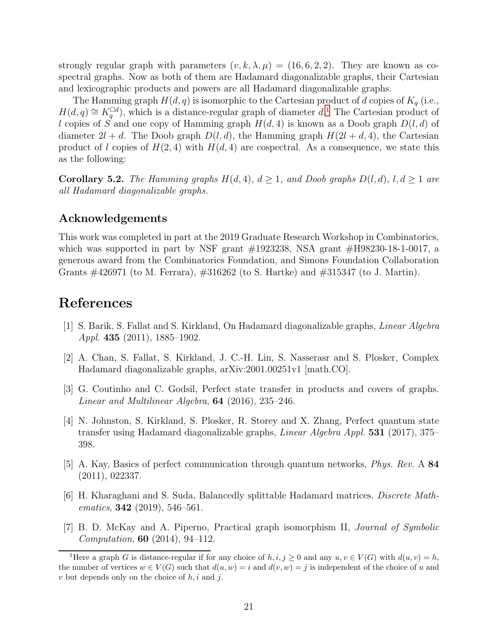strongly regular graph with parameters  $(v, k, \lambda, \mu) = (16, 6, 2, 2)$ . They are known as cospectral graphs. Now as both of them are Hadamard diagonalizable graphs, their Cartesian and lexicographic products and powers are all Hadamard diagonalizable graphs.

The Hamming graph  $H(d, q)$  is isomorphic to the Cartesian product of d copies of  $K_q$  (i.e.,  $H(d, q) \cong K_q^{\Box d}$ , which is a distance-regular graph of diameter d.<sup>[1](#page-20-6)</sup> The Cartesian product of l copies of S and one copy of Hamming graph  $H(d, 4)$  is known as a Doob graph  $D(l, d)$  of diameter  $2l + d$ . The Doob graph  $D(l, d)$ , the Hamming graph  $H(2l + d, 4)$ , the Cartesian product of l copies of  $H(2, 4)$  with  $H(d, 4)$  are cospectral. As a consequence, we state this as the following:

**Corollary 5.2.** *The Hamming graphs*  $H(d, 4)$ *,*  $d \geq 1$ *, and Doob graphs*  $D(l, d)$ *,*  $l, d \geq 1$  *are all Hadamard diagonalizable graphs.*

#### Acknowledgements

This work was completed in part at the 2019 Graduate Research Workshop in Combinatorics, which was supported in part by NSF grant  $\#1923238$ , NSA grant  $\#H98230-18-1-0017$ , a generous award from the Combinatorics Foundation, and Simons Foundation Collaboration Grants #426971 (to M. Ferrara), #316262 (to S. Hartke) and #315347 (to J. Martin).

### <span id="page-20-0"></span>References

- <span id="page-20-4"></span>[1] S. Barik, S. Fallat and S. Kirkland, On Hadamard diagonalizable graphs, *Linear Algebra Appl.* 435 (2011), 1885–1902.
- [2] A. Chan, S. Fallat, S. Kirkland, J. C.-H. Lin, S. Nasserasr and S. Plosker, Complex Hadamard diagonalizable graphs, arXiv:2001.00251v1 [math.CO].
- [3] G. Coutinho and C. Godsil, Perfect state transfer in products and covers of graphs. *Linear and Multilinear Algebra*, 64 (2016), 235–246.
- <span id="page-20-2"></span>[4] N. Johnston, S. Kirkland, S. Plosker, R. Storey and X. Zhang, Perfect quantum state transfer using Hadamard diagonalizable graphs, *Linear Algebra Appl.* 531 (2017), 375– 398.
- <span id="page-20-3"></span>[5] A. Kay, Basics of perfect communication through quantum networks, *Phys. Rev.* A 84 (2011), 022337.
- <span id="page-20-1"></span>[6] H. Kharaghani and S. Suda, Balancedly splittable Hadamard matrices. *Discrete Mathematics*, 342 (2019), 546–561.
- <span id="page-20-5"></span>[7] B. D. McKay and A. Piperno, Practical graph isomorphism II, *Journal of Symbolic Computation*, 60 (2014), 94–112.

<span id="page-20-6"></span><sup>&</sup>lt;sup>1</sup>Here a graph G is distance-regular if for any choice of  $h, i, j \ge 0$  and any  $u, v \in V(G)$  with  $d(u, v) = h$ , the number of vertices  $w \in V(G)$  such that  $d(u, w) = i$  and  $d(v, w) = j$  is independent of the choice of u and  $v$  but depends only on the choice of  $h, i$  and  $j$ .